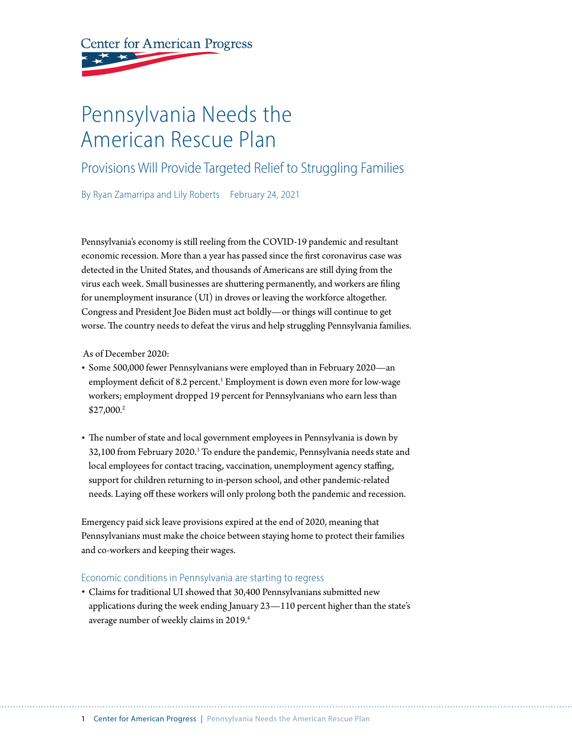# **Center for American Progress**

# Pennsylvania Needs the American Rescue Plan

## Provisions Will Provide Targeted Relief to Struggling Families

By Ryan Zamarripa and Lily Roberts February 24, 2021

Pennsylvania's economy is still reeling from the COVID-19 pandemic and resultant economic recession. More than a year has passed since the first coronavirus case was detected in the United States, and thousands of Americans are still dying from the virus each week. Small businesses are shuttering permanently, and workers are filing for unemployment insurance (UI) in droves or leaving the workforce altogether. Congress and President Joe Biden must act boldly—or things will continue to get worse. The country needs to defeat the virus and help struggling Pennsylvania families.

As of December 2020:

- Some 500,000 fewer Pennsylvanians were employed than in February 2020—an employment deficit of 8.2 percent.<sup>1</sup> Employment is down even more for low-wage workers; employment dropped 19 percent for Pennsylvanians who earn less than \$27,000.2
- The number of state and local government employees in Pennsylvania is down by  $32,100$  from February 2020.<sup>3</sup> To endure the pandemic, Pennsylvania needs state and local employees for contact tracing, vaccination, unemployment agency staffing, support for children returning to in-person school, and other pandemic-related needs. Laying off these workers will only prolong both the pandemic and recession.

Emergency paid sick leave provisions expired at the end of 2020, meaning that Pennsylvanians must make the choice between staying home to protect their families and co-workers and keeping their wages.

#### Economic conditions in Pennsylvania are starting to regress

• Claims for traditional UI showed that 30,400 Pennsylvanians submitted new applications during the week ending January 23—110 percent higher than the state's average number of weekly claims in 2019.<sup>4</sup>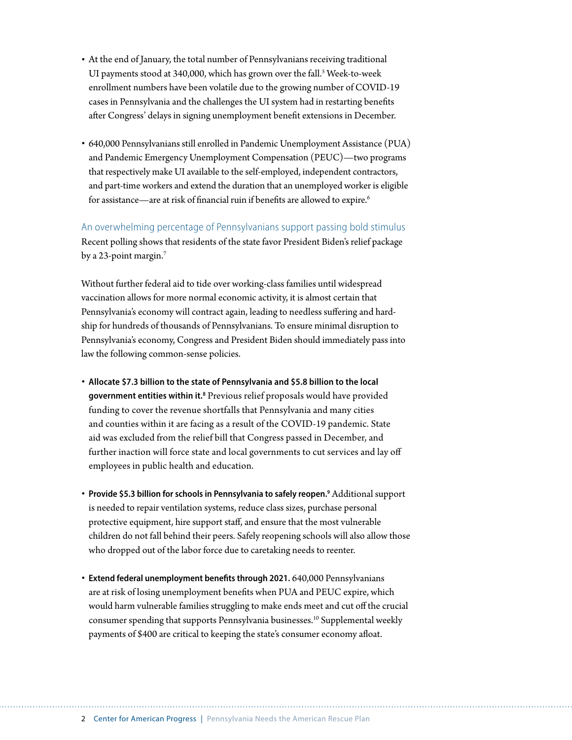- At the end of January, the total number of Pennsylvanians receiving traditional UI payments stood at 340,000, which has grown over the fall.<sup>5</sup> Week-to-week enrollment numbers have been volatile due to the growing number of COVID-19 cases in Pennsylvania and the challenges the UI system had in restarting benefits after Congress' delays in signing unemployment benefit extensions in December.
- 640,000 Pennsylvanians still enrolled in Pandemic Unemployment Assistance (PUA) and Pandemic Emergency Unemployment Compensation (PEUC)—two programs that respectively make UI available to the self-employed, independent contractors, and part-time workers and extend the duration that an unemployed worker is eligible for assistance—are at risk of financial ruin if benefits are allowed to expire.<sup>6</sup>

An overwhelming percentage of Pennsylvanians support passing bold stimulus Recent polling shows that residents of the state favor President Biden's relief package by a 23-point margin.<sup>7</sup>

Without further federal aid to tide over working-class families until widespread vaccination allows for more normal economic activity, it is almost certain that Pennsylvania's economy will contract again, leading to needless suffering and hardship for hundreds of thousands of Pennsylvanians. To ensure minimal disruption to Pennsylvania's economy, Congress and President Biden should immediately pass into law the following common-sense policies.

- **Allocate \$7.3 billion to the state of Pennsylvania and \$5.8 billion to the local government entities within it.8** Previous relief proposals would have provided funding to cover the revenue shortfalls that Pennsylvania and many cities and counties within it are facing as a result of the COVID-19 pandemic. State aid was excluded from the relief bill that Congress passed in December, and further inaction will force state and local governments to cut services and lay off employees in public health and education.
- **Provide \$5.3 billion for schools in Pennsylvania to safely reopen.9** Additional support is needed to repair ventilation systems, reduce class sizes, purchase personal protective equipment, hire support staff, and ensure that the most vulnerable children do not fall behind their peers. Safely reopening schools will also allow those who dropped out of the labor force due to caretaking needs to reenter.
- **Extend federal unemployment benefits through 2021.** 640,000 Pennsylvanians are at risk of losing unemployment benefits when PUA and PEUC expire, which would harm vulnerable families struggling to make ends meet and cut off the crucial consumer spending that supports Pennsylvania businesses.10 Supplemental weekly payments of \$400 are critical to keeping the state's consumer economy afloat.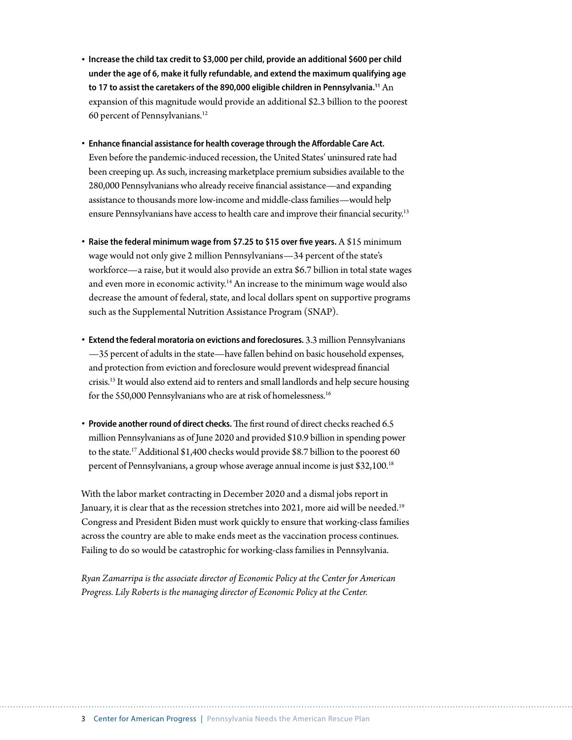- **Increase the child tax credit to \$3,000 per child, provide an additional \$600 per child under the age of 6, make it fully refundable, and extend the maximum qualifying age to 17 to assist the caretakers of the 890,000 eligible children in Pennsylvania.11** An expansion of this magnitude would provide an additional \$2.3 billion to the poorest 60 percent of Pennsylvanians.12
- **Enhance financial assistance for health coverage through the Affordable Care Act.** Even before the pandemic-induced recession, the United States' uninsured rate had been creeping up. As such, increasing marketplace premium subsidies available to the 280,000 Pennsylvanians who already receive financial assistance—and expanding assistance to thousands more low-income and middle-class families—would help ensure Pennsylvanians have access to health care and improve their financial security.<sup>13</sup>
- **Raise the federal minimum wage from \$7.25 to \$15 over five years.** A \$15 minimum wage would not only give 2 million Pennsylvanians—34 percent of the state's workforce—a raise, but it would also provide an extra \$6.7 billion in total state wages and even more in economic activity.<sup>14</sup> An increase to the minimum wage would also decrease the amount of federal, state, and local dollars spent on supportive programs such as the Supplemental Nutrition Assistance Program (SNAP).
- **Extend the federal moratoria on evictions and foreclosures.** 3.3 million Pennsylvanians —35 percent of adults in the state—have fallen behind on basic household expenses, and protection from eviction and foreclosure would prevent widespread financial crisis.15 It would also extend aid to renters and small landlords and help secure housing for the 550,000 Pennsylvanians who are at risk of homelessness.<sup>16</sup>
- **Provide another round of direct checks.**The first round of direct checks reached 6.5 million Pennsylvanians as of June 2020 and provided \$10.9 billion in spending power to the state.17 Additional \$1,400 checks would provide \$8.7 billion to the poorest 60 percent of Pennsylvanians, a group whose average annual income is just \$32,100.18

With the labor market contracting in December 2020 and a dismal jobs report in January, it is clear that as the recession stretches into 2021, more aid will be needed.<sup>19</sup> Congress and President Biden must work quickly to ensure that working-class families across the country are able to make ends meet as the vaccination process continues. Failing to do so would be catastrophic for working-class families in Pennsylvania.

*Ryan Zamarripa is the associate director of Economic Policy at the Center for American Progress. Lily Roberts is the managing director of Economic Policy at the Center.*